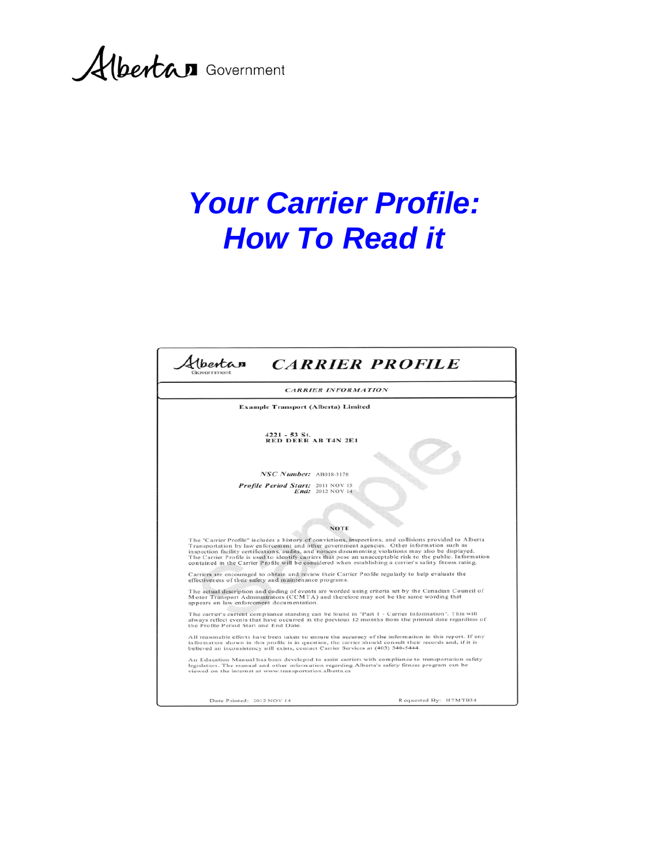Albertan Government

# *Your Carrier Profile: How To Read it*

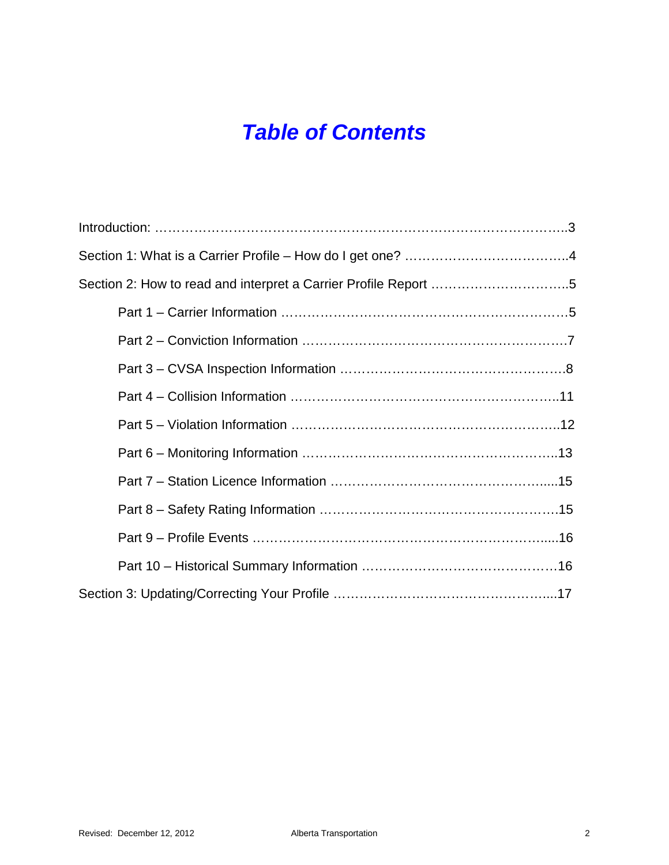## *Table of Contents*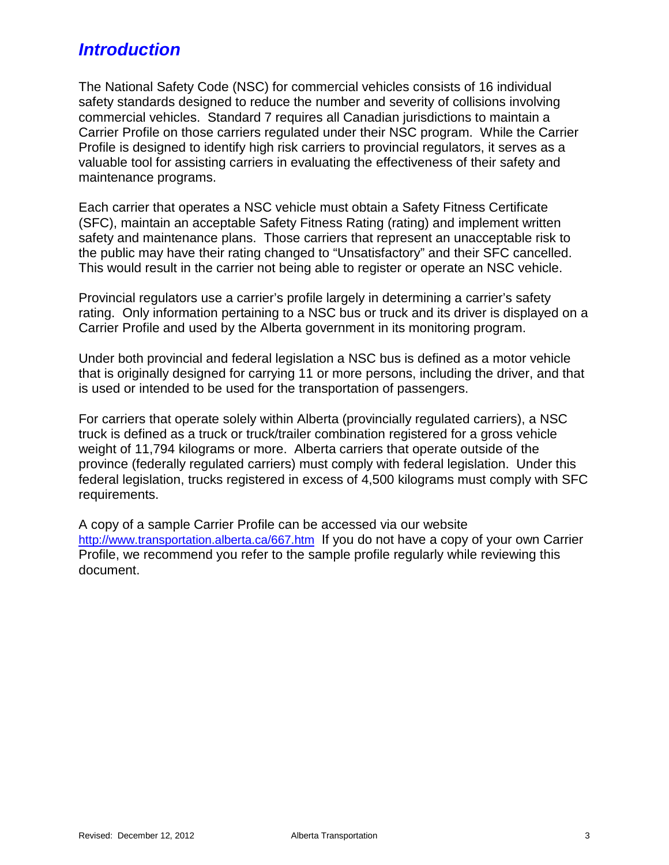## *Introduction*

The National Safety Code (NSC) for commercial vehicles consists of 16 individual safety standards designed to reduce the number and severity of collisions involving commercial vehicles. Standard 7 requires all Canadian jurisdictions to maintain a Carrier Profile on those carriers regulated under their NSC program. While the Carrier Profile is designed to identify high risk carriers to provincial regulators, it serves as a valuable tool for assisting carriers in evaluating the effectiveness of their safety and maintenance programs.

Each carrier that operates a NSC vehicle must obtain a Safety Fitness Certificate (SFC), maintain an acceptable Safety Fitness Rating (rating) and implement written safety and maintenance plans. Those carriers that represent an unacceptable risk to the public may have their rating changed to "Unsatisfactory" and their SFC cancelled. This would result in the carrier not being able to register or operate an NSC vehicle.

Provincial regulators use a carrier's profile largely in determining a carrier's safety rating. Only information pertaining to a NSC bus or truck and its driver is displayed on a Carrier Profile and used by the Alberta government in its monitoring program.

Under both provincial and federal legislation a NSC bus is defined as a motor vehicle that is originally designed for carrying 11 or more persons, including the driver, and that is used or intended to be used for the transportation of passengers.

For carriers that operate solely within Alberta (provincially regulated carriers), a NSC truck is defined as a truck or truck/trailer combination registered for a gross vehicle weight of 11,794 kilograms or more. Alberta carriers that operate outside of the province (federally regulated carriers) must comply with federal legislation. Under this federal legislation, trucks registered in excess of 4,500 kilograms must comply with SFC requirements.

A copy of a sample Carrier Profile can be accessed via our website <http://www.transportation.alberta.ca/667.htm>If you do not have a copy of your own Carrier Profile, we recommend you refer to the sample profile regularly while reviewing this document.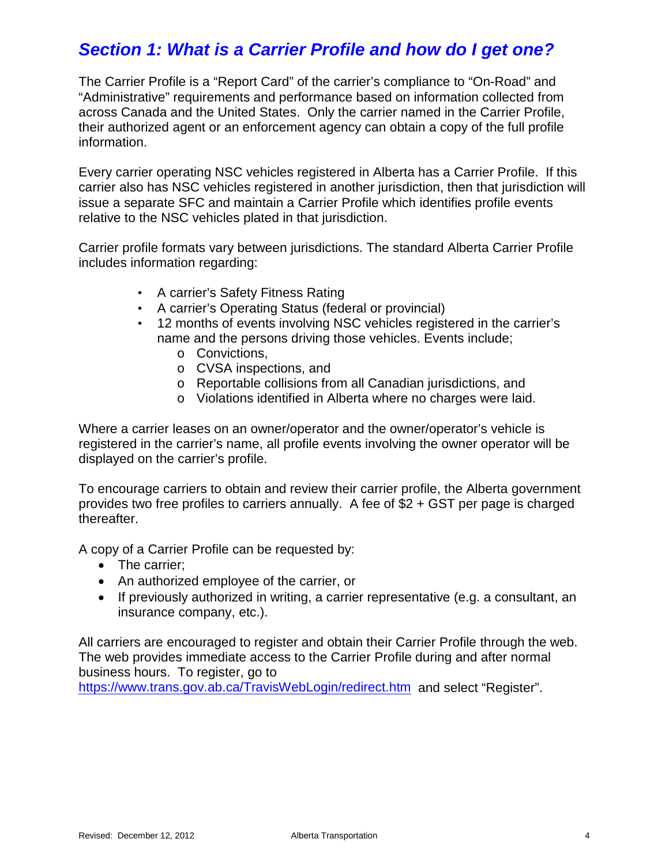## *Section 1: What is a Carrier Profile and how do I get one?*

The Carrier Profile is a "Report Card" of the carrier's compliance to "On-Road" and "Administrative" requirements and performance based on information collected from across Canada and the United States. Only the carrier named in the Carrier Profile, their authorized agent or an enforcement agency can obtain a copy of the full profile information.

Every carrier operating NSC vehicles registered in Alberta has a Carrier Profile. If this carrier also has NSC vehicles registered in another jurisdiction, then that jurisdiction will issue a separate SFC and maintain a Carrier Profile which identifies profile events relative to the NSC vehicles plated in that jurisdiction.

Carrier profile formats vary between jurisdictions. The standard Alberta Carrier Profile includes information regarding:

- A carrier's Safety Fitness Rating
- A carrier's Operating Status (federal or provincial)
- 12 months of events involving NSC vehicles registered in the carrier's name and the persons driving those vehicles. Events include;
	- o Convictions,
	- o CVSA inspections, and
	- o Reportable collisions from all Canadian jurisdictions, and
	- o Violations identified in Alberta where no charges were laid.

Where a carrier leases on an owner/operator and the owner/operator's vehicle is registered in the carrier's name, all profile events involving the owner operator will be displayed on the carrier's profile.

To encourage carriers to obtain and review their carrier profile, the Alberta government provides two free profiles to carriers annually. A fee of \$2 + GST per page is charged thereafter.

A copy of a Carrier Profile can be requested by:

- The carrier:
- An authorized employee of the carrier, or
- If previously authorized in writing, a carrier representative (e.g. a consultant, an insurance company, etc.).

All carriers are encouraged to register and obtain their Carrier Profile through the web. The web provides immediate access to the Carrier Profile during and after normal business hours. To register, go to

<https://www.trans.gov.ab.ca/TravisWebLogin/redirect.htm>and select "Register".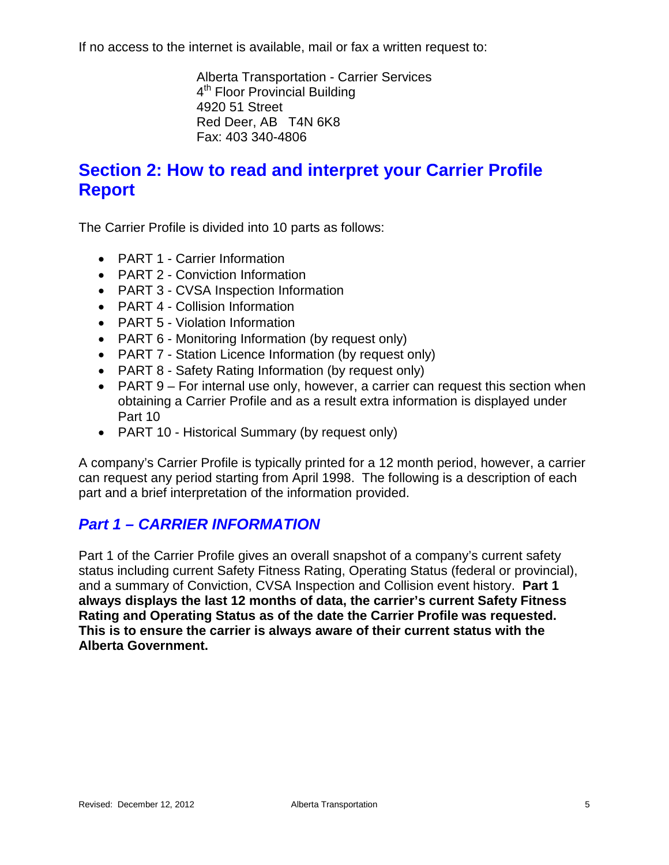If no access to the internet is available, mail or fax a written request to:

Alberta Transportation - Carrier Services 4<sup>th</sup> Floor Provincial Building 4920 51 Street Red Deer, AB T4N 6K8 Fax: 403 340-4806

## **Section 2: How to read and interpret your Carrier Profile Report**

The Carrier Profile is divided into 10 parts as follows:

- PART 1 Carrier Information
- PART 2 Conviction Information
- PART 3 CVSA Inspection Information
- PART 4 Collision Information
- PART 5 Violation Information
- PART 6 Monitoring Information (by request only)
- PART 7 Station Licence Information (by request only)
- PART 8 Safety Rating Information (by request only)
- PART 9 For internal use only, however, a carrier can request this section when obtaining a Carrier Profile and as a result extra information is displayed under Part 10
- PART 10 Historical Summary (by request only)

A company's Carrier Profile is typically printed for a 12 month period, however, a carrier can request any period starting from April 1998. The following is a description of each part and a brief interpretation of the information provided.

#### *Part 1 – CARRIER INFORMATION*

Part 1 of the Carrier Profile gives an overall snapshot of a company's current safety status including current Safety Fitness Rating, Operating Status (federal or provincial), and a summary of Conviction, CVSA Inspection and Collision event history. **Part 1 always displays the last 12 months of data, the carrier's current Safety Fitness Rating and Operating Status as of the date the Carrier Profile was requested. This is to ensure the carrier is always aware of their current status with the Alberta Government.**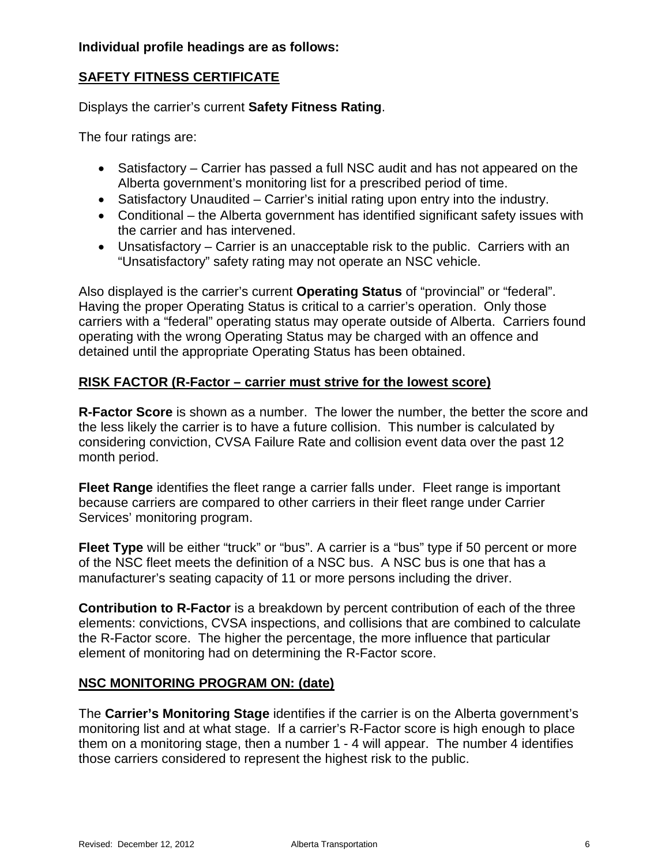#### **SAFETY FITNESS CERTIFICATE**

Displays the carrier's current **Safety Fitness Rating**.

The four ratings are:

- Satisfactory Carrier has passed a full NSC audit and has not appeared on the Alberta government's monitoring list for a prescribed period of time.
- Satisfactory Unaudited Carrier's initial rating upon entry into the industry.
- Conditional the Alberta government has identified significant safety issues with the carrier and has intervened.
- Unsatisfactory Carrier is an unacceptable risk to the public. Carriers with an "Unsatisfactory" safety rating may not operate an NSC vehicle.

Also displayed is the carrier's current **Operating Status** of "provincial" or "federal". Having the proper Operating Status is critical to a carrier's operation. Only those carriers with a "federal" operating status may operate outside of Alberta. Carriers found operating with the wrong Operating Status may be charged with an offence and detained until the appropriate Operating Status has been obtained.

#### **RISK FACTOR (R-Factor – carrier must strive for the lowest score)**

**R-Factor Score** is shown as a number. The lower the number, the better the score and the less likely the carrier is to have a future collision. This number is calculated by considering conviction, CVSA Failure Rate and collision event data over the past 12 month period.

**Fleet Range** identifies the fleet range a carrier falls under. Fleet range is important because carriers are compared to other carriers in their fleet range under Carrier Services' monitoring program.

**Fleet Type** will be either "truck" or "bus". A carrier is a "bus" type if 50 percent or more of the NSC fleet meets the definition of a NSC bus. A NSC bus is one that has a manufacturer's seating capacity of 11 or more persons including the driver.

**Contribution to R-Factor** is a breakdown by percent contribution of each of the three elements: convictions, CVSA inspections, and collisions that are combined to calculate the R-Factor score. The higher the percentage, the more influence that particular element of monitoring had on determining the R-Factor score.

#### **NSC MONITORING PROGRAM ON: (date)**

The **Carrier's Monitoring Stage** identifies if the carrier is on the Alberta government's monitoring list and at what stage. If a carrier's R-Factor score is high enough to place them on a monitoring stage, then a number 1 - 4 will appear. The number 4 identifies those carriers considered to represent the highest risk to the public.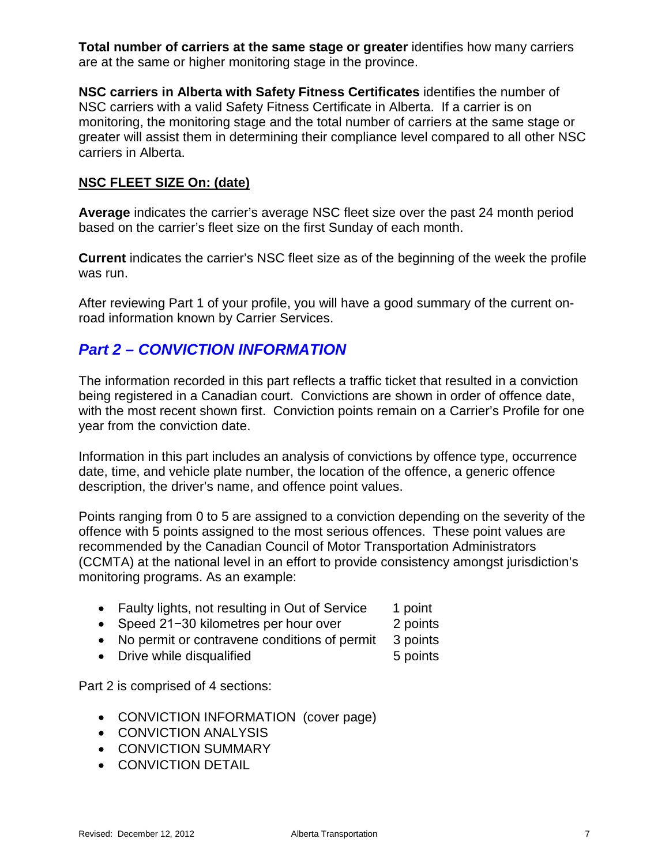**Total number of carriers at the same stage or greater** identifies how many carriers are at the same or higher monitoring stage in the province.

**NSC carriers in Alberta with Safety Fitness Certificates** identifies the number of NSC carriers with a valid Safety Fitness Certificate in Alberta. If a carrier is on monitoring, the monitoring stage and the total number of carriers at the same stage or greater will assist them in determining their compliance level compared to all other NSC carriers in Alberta.

#### **NSC FLEET SIZE On: (date)**

**Average** indicates the carrier's average NSC fleet size over the past 24 month period based on the carrier's fleet size on the first Sunday of each month.

**Current** indicates the carrier's NSC fleet size as of the beginning of the week the profile was run.

After reviewing Part 1 of your profile, you will have a good summary of the current onroad information known by Carrier Services.

#### *Part 2 – CONVICTION INFORMATION*

The information recorded in this part reflects a traffic ticket that resulted in a conviction being registered in a Canadian court. Convictions are shown in order of offence date, with the most recent shown first. Conviction points remain on a Carrier's Profile for one year from the conviction date.

Information in this part includes an analysis of convictions by offence type, occurrence date, time, and vehicle plate number, the location of the offence, a generic offence description, the driver's name, and offence point values.

Points ranging from 0 to 5 are assigned to a conviction depending on the severity of the offence with 5 points assigned to the most serious offences. These point values are recommended by the Canadian Council of Motor Transportation Administrators (CCMTA) at the national level in an effort to provide consistency amongst jurisdiction's monitoring programs. As an example:

- Faulty lights, not resulting in Out of Service 1 point
- Speed 21−30 kilometres per hour over 2 points
- No permit or contravene conditions of permit 3 points
- Drive while disqualified 5 points

Part 2 is comprised of 4 sections:

- CONVICTION INFORMATION (cover page)
- CONVICTION ANALYSIS
- CONVICTION SUMMARY
- CONVICTION DETAIL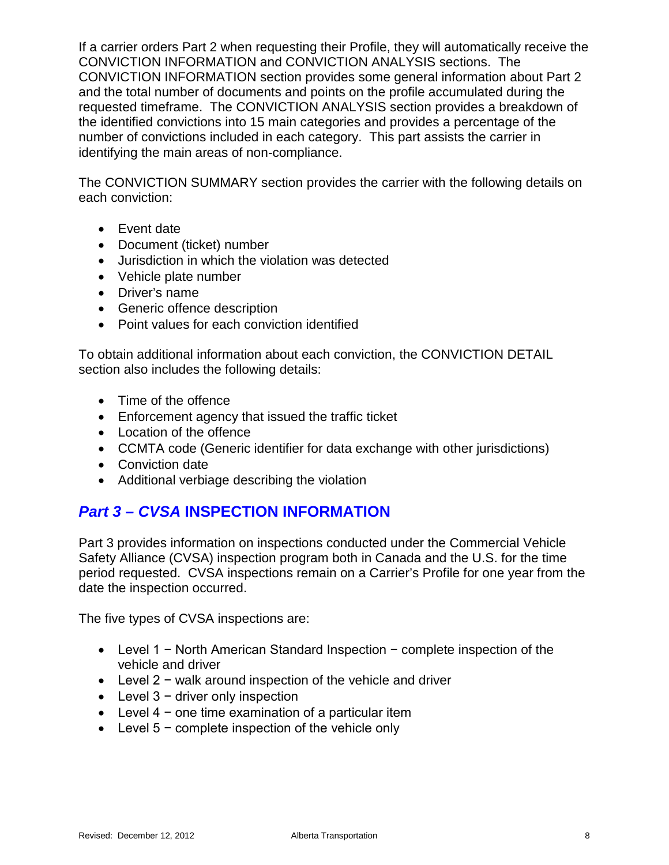If a carrier orders Part 2 when requesting their Profile, they will automatically receive the CONVICTION INFORMATION and CONVICTION ANALYSIS sections. The CONVICTION INFORMATION section provides some general information about Part 2 and the total number of documents and points on the profile accumulated during the requested timeframe. The CONVICTION ANALYSIS section provides a breakdown of the identified convictions into 15 main categories and provides a percentage of the number of convictions included in each category. This part assists the carrier in identifying the main areas of non-compliance.

The CONVICTION SUMMARY section provides the carrier with the following details on each conviction:

- Event date
- Document (ticket) number
- Jurisdiction in which the violation was detected
- Vehicle plate number
- Driver's name
- Generic offence description
- Point values for each conviction identified

To obtain additional information about each conviction, the CONVICTION DETAIL section also includes the following details:

- Time of the offence
- Enforcement agency that issued the traffic ticket
- Location of the offence
- CCMTA code (Generic identifier for data exchange with other jurisdictions)
- Conviction date
- Additional verbiage describing the violation

### *Part 3 – CVSA* **INSPECTION INFORMATION**

Part 3 provides information on inspections conducted under the Commercial Vehicle Safety Alliance (CVSA) inspection program both in Canada and the U.S. for the time period requested. CVSA inspections remain on a Carrier's Profile for one year from the date the inspection occurred.

The five types of CVSA inspections are:

- Level 1 − North American Standard Inspection − complete inspection of the vehicle and driver
- Level 2 − walk around inspection of the vehicle and driver
- Level 3 − driver only inspection
- Level 4 − one time examination of a particular item
- Level 5 − complete inspection of the vehicle only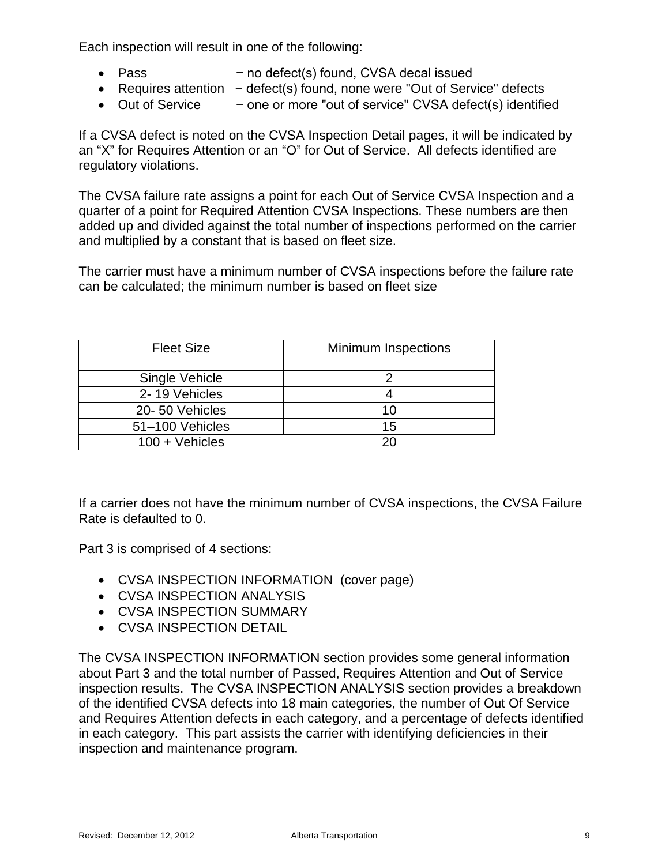Each inspection will result in one of the following:

- Pass − no defect(s) found, CVSA decal issued
- Requires attention − defect(s) found, none were "Out of Service" defects
- Out of Service − one or more "out of service" CVSA defect(s) identified

If a CVSA defect is noted on the CVSA Inspection Detail pages, it will be indicated by an "X" for Requires Attention or an "O" for Out of Service. All defects identified are regulatory violations.

The CVSA failure rate assigns a point for each Out of Service CVSA Inspection and a quarter of a point for Required Attention CVSA Inspections. These numbers are then added up and divided against the total number of inspections performed on the carrier and multiplied by a constant that is based on fleet size.

The carrier must have a minimum number of CVSA inspections before the failure rate can be calculated; the minimum number is based on fleet size

| <b>Fleet Size</b> | <b>Minimum Inspections</b> |
|-------------------|----------------------------|
| Single Vehicle    |                            |
| 2-19 Vehicles     |                            |
| 20-50 Vehicles    | 10                         |
| 51-100 Vehicles   | 15                         |
| $100 + V$ ehicles | ንበ                         |

If a carrier does not have the minimum number of CVSA inspections, the CVSA Failure Rate is defaulted to 0.

Part 3 is comprised of 4 sections:

- CVSA INSPECTION INFORMATION (cover page)
- CVSA INSPECTION ANALYSIS
- CVSA INSPECTION SUMMARY
- CVSA INSPECTION DETAIL

The CVSA INSPECTION INFORMATION section provides some general information about Part 3 and the total number of Passed, Requires Attention and Out of Service inspection results. The CVSA INSPECTION ANALYSIS section provides a breakdown of the identified CVSA defects into 18 main categories, the number of Out Of Service and Requires Attention defects in each category, and a percentage of defects identified in each category. This part assists the carrier with identifying deficiencies in their inspection and maintenance program.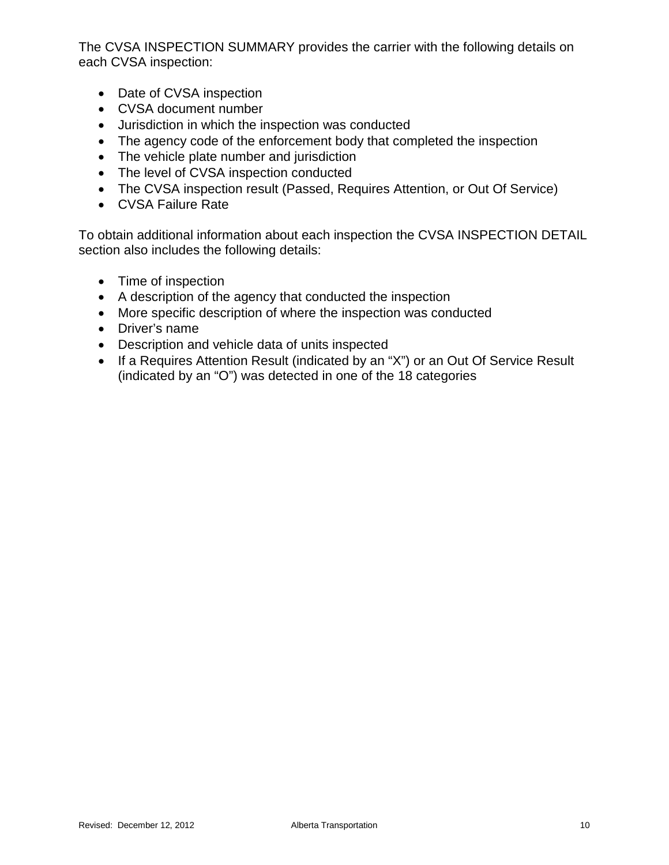The CVSA INSPECTION SUMMARY provides the carrier with the following details on each CVSA inspection:

- Date of CVSA inspection
- CVSA document number
- Jurisdiction in which the inspection was conducted
- The agency code of the enforcement body that completed the inspection
- The vehicle plate number and jurisdiction
- The level of CVSA inspection conducted
- The CVSA inspection result (Passed, Requires Attention, or Out Of Service)
- CVSA Failure Rate

To obtain additional information about each inspection the CVSA INSPECTION DETAIL section also includes the following details:

- Time of inspection
- A description of the agency that conducted the inspection
- More specific description of where the inspection was conducted
- Driver's name
- Description and vehicle data of units inspected
- If a Requires Attention Result (indicated by an "X") or an Out Of Service Result (indicated by an "O") was detected in one of the 18 categories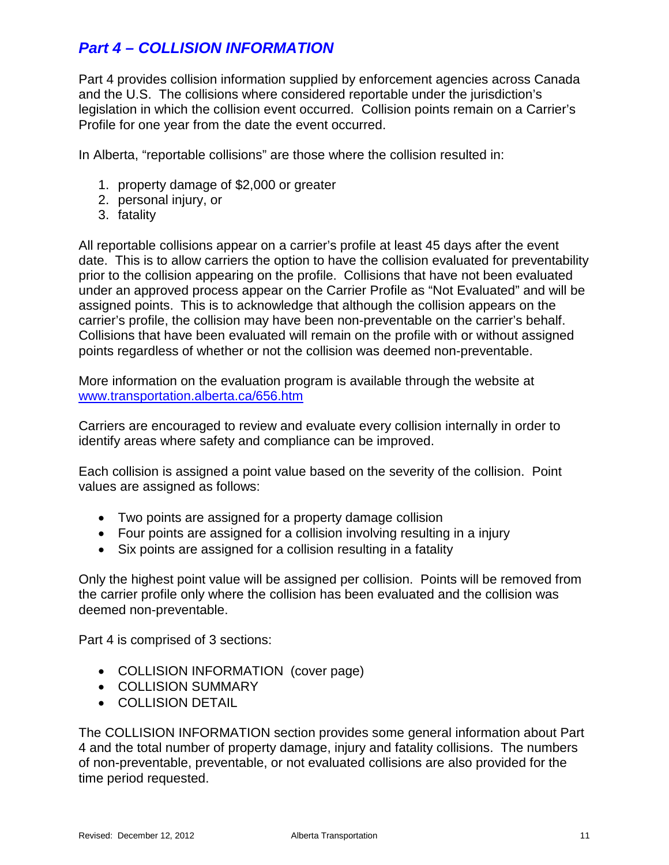#### *Part 4 – COLLISION INFORMATION*

Part 4 provides collision information supplied by enforcement agencies across Canada and the U.S. The collisions where considered reportable under the jurisdiction's legislation in which the collision event occurred. Collision points remain on a Carrier's Profile for one year from the date the event occurred.

In Alberta, "reportable collisions" are those where the collision resulted in:

- 1. property damage of \$2,000 or greater
- 2. personal injury, or
- 3. fatality

All reportable collisions appear on a carrier's profile at least 45 days after the event date. This is to allow carriers the option to have the collision evaluated for preventability prior to the collision appearing on the profile. Collisions that have not been evaluated under an approved process appear on the Carrier Profile as "Not Evaluated" and will be assigned points. This is to acknowledge that although the collision appears on the carrier's profile, the collision may have been non-preventable on the carrier's behalf. Collisions that have been evaluated will remain on the profile with or without assigned points regardless of whether or not the collision was deemed non-preventable.

More information on the evaluation program is available through the website at [www.transportation.alberta.ca/656.htm](http://www.transportation.alberta.ca/656.htm)

Carriers are encouraged to review and evaluate every collision internally in order to identify areas where safety and compliance can be improved.

Each collision is assigned a point value based on the severity of the collision. Point values are assigned as follows:

- Two points are assigned for a property damage collision
- Four points are assigned for a collision involving resulting in a injury
- Six points are assigned for a collision resulting in a fatality

Only the highest point value will be assigned per collision. Points will be removed from the carrier profile only where the collision has been evaluated and the collision was deemed non-preventable.

Part 4 is comprised of 3 sections:

- COLLISION INFORMATION (cover page)
- COLLISION SUMMARY
- COLLISION DETAIL

The COLLISION INFORMATION section provides some general information about Part 4 and the total number of property damage, injury and fatality collisions. The numbers of non-preventable, preventable, or not evaluated collisions are also provided for the time period requested.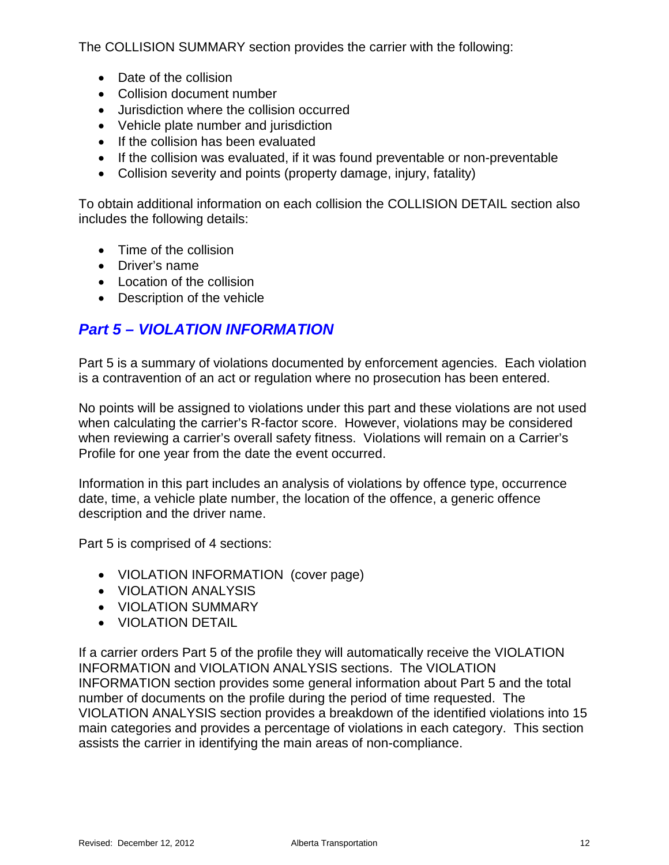The COLLISION SUMMARY section provides the carrier with the following:

- Date of the collision
- Collision document number
- Jurisdiction where the collision occurred
- Vehicle plate number and jurisdiction
- If the collision has been evaluated
- If the collision was evaluated, if it was found preventable or non-preventable
- Collision severity and points (property damage, injury, fatality)

To obtain additional information on each collision the COLLISION DETAIL section also includes the following details:

- Time of the collision
- Driver's name
- Location of the collision
- Description of the vehicle

#### *Part 5 – VIOLATION INFORMATION*

Part 5 is a summary of violations documented by enforcement agencies. Each violation is a contravention of an act or regulation where no prosecution has been entered.

No points will be assigned to violations under this part and these violations are not used when calculating the carrier's R-factor score. However, violations may be considered when reviewing a carrier's overall safety fitness. Violations will remain on a Carrier's Profile for one year from the date the event occurred.

Information in this part includes an analysis of violations by offence type, occurrence date, time, a vehicle plate number, the location of the offence, a generic offence description and the driver name.

Part 5 is comprised of 4 sections:

- VIOLATION INFORMATION (cover page)
- VIOLATION ANALYSIS
- VIOLATION SUMMARY
- VIOLATION DETAIL

If a carrier orders Part 5 of the profile they will automatically receive the VIOLATION INFORMATION and VIOLATION ANALYSIS sections. The VIOLATION INFORMATION section provides some general information about Part 5 and the total number of documents on the profile during the period of time requested. The VIOLATION ANALYSIS section provides a breakdown of the identified violations into 15 main categories and provides a percentage of violations in each category. This section assists the carrier in identifying the main areas of non-compliance.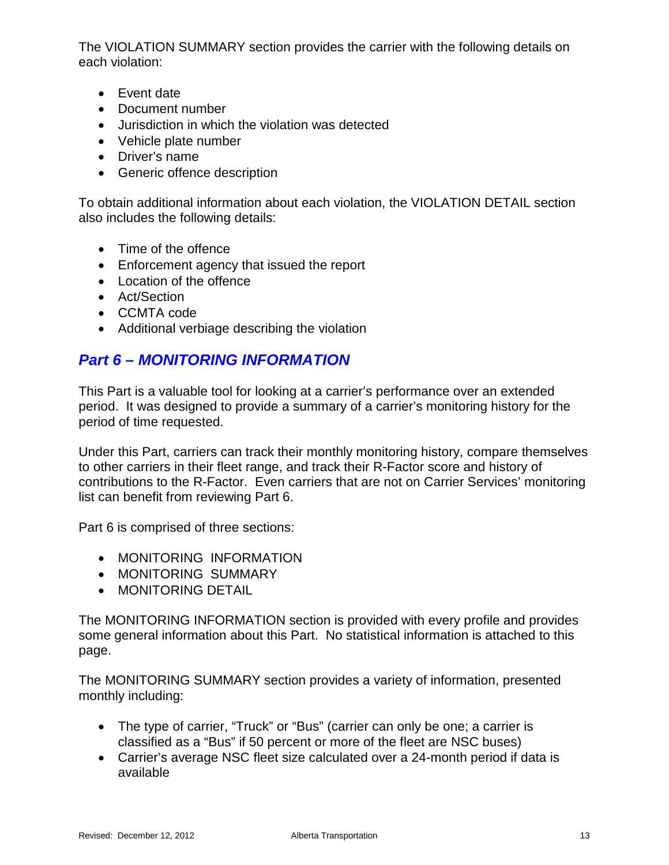The VIOLATION SUMMARY section provides the carrier with the following details on each violation:

- Event date
- Document number
- Jurisdiction in which the violation was detected
- Vehicle plate number
- Driver's name
- Generic offence description

To obtain additional information about each violation, the VIOLATION DETAIL section also includes the following details:

- Time of the offence
- Enforcement agency that issued the report
- Location of the offence
- Act/Section
- CCMTA code
- Additional verbiage describing the violation

#### *Part 6 – MONITORING INFORMATION*

This Part is a valuable tool for looking at a carrier's performance over an extended period. It was designed to provide a summary of a carrier's monitoring history for the period of time requested.

Under this Part, carriers can track their monthly monitoring history, compare themselves to other carriers in their fleet range, and track their R-Factor score and history of contributions to the R-Factor. Even carriers that are not on Carrier Services' monitoring list can benefit from reviewing Part 6.

Part 6 is comprised of three sections:

- MONITORING INFORMATION
- MONITORING SUMMARY
- MONITORING DETAIL

The MONITORING INFORMATION section is provided with every profile and provides some general information about this Part. No statistical information is attached to this page.

The MONITORING SUMMARY section provides a variety of information, presented monthly including:

- The type of carrier, "Truck" or "Bus" (carrier can only be one; a carrier is classified as a "Bus" if 50 percent or more of the fleet are NSC buses)
- Carrier's average NSC fleet size calculated over a 24-month period if data is available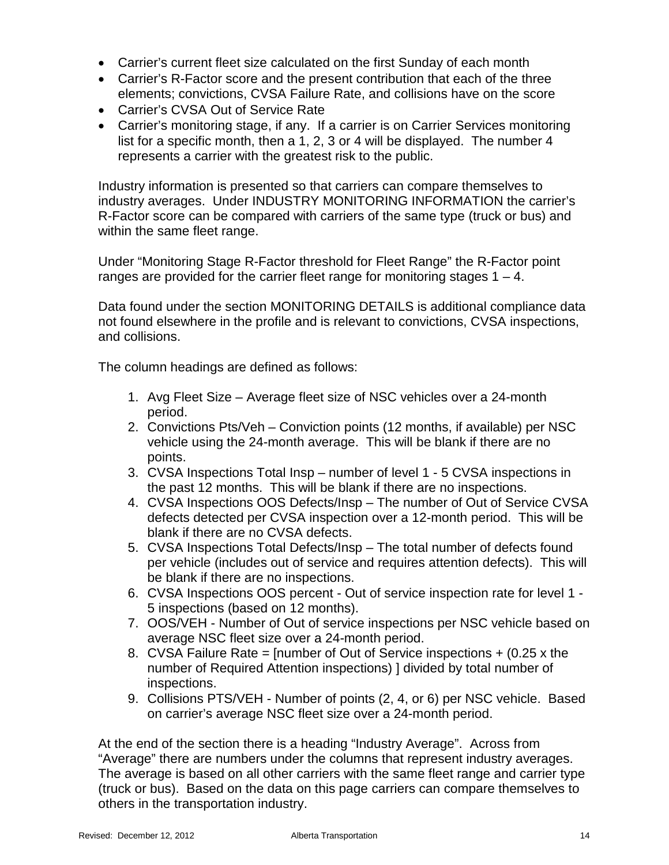- Carrier's current fleet size calculated on the first Sunday of each month
- Carrier's R-Factor score and the present contribution that each of the three elements; convictions, CVSA Failure Rate, and collisions have on the score
- Carrier's CVSA Out of Service Rate
- Carrier's monitoring stage, if any. If a carrier is on Carrier Services monitoring list for a specific month, then a 1, 2, 3 or 4 will be displayed. The number 4 represents a carrier with the greatest risk to the public.

Industry information is presented so that carriers can compare themselves to industry averages. Under INDUSTRY MONITORING INFORMATION the carrier's R-Factor score can be compared with carriers of the same type (truck or bus) and within the same fleet range.

Under "Monitoring Stage R-Factor threshold for Fleet Range" the R-Factor point ranges are provided for the carrier fleet range for monitoring stages  $1 - 4$ .

Data found under the section MONITORING DETAILS is additional compliance data not found elsewhere in the profile and is relevant to convictions, CVSA inspections, and collisions.

The column headings are defined as follows:

- 1. Avg Fleet Size Average fleet size of NSC vehicles over a 24-month period.
- 2. Convictions Pts/Veh Conviction points (12 months, if available) per NSC vehicle using the 24-month average. This will be blank if there are no points.
- 3. CVSA Inspections Total Insp number of level 1 5 CVSA inspections in the past 12 months. This will be blank if there are no inspections.
- 4. CVSA Inspections OOS Defects/Insp The number of Out of Service CVSA defects detected per CVSA inspection over a 12-month period. This will be blank if there are no CVSA defects.
- 5. CVSA Inspections Total Defects/Insp The total number of defects found per vehicle (includes out of service and requires attention defects). This will be blank if there are no inspections.
- 6. CVSA Inspections OOS percent Out of service inspection rate for level 1 5 inspections (based on 12 months).
- 7. OOS/VEH Number of Out of service inspections per NSC vehicle based on average NSC fleet size over a 24-month period.
- 8. CVSA Failure Rate = [number of Out of Service inspections + (0.25 x the number of Required Attention inspections) ] divided by total number of inspections.
- 9. Collisions PTS/VEH Number of points (2, 4, or 6) per NSC vehicle. Based on carrier's average NSC fleet size over a 24-month period.

At the end of the section there is a heading "Industry Average". Across from "Average" there are numbers under the columns that represent industry averages. The average is based on all other carriers with the same fleet range and carrier type (truck or bus). Based on the data on this page carriers can compare themselves to others in the transportation industry.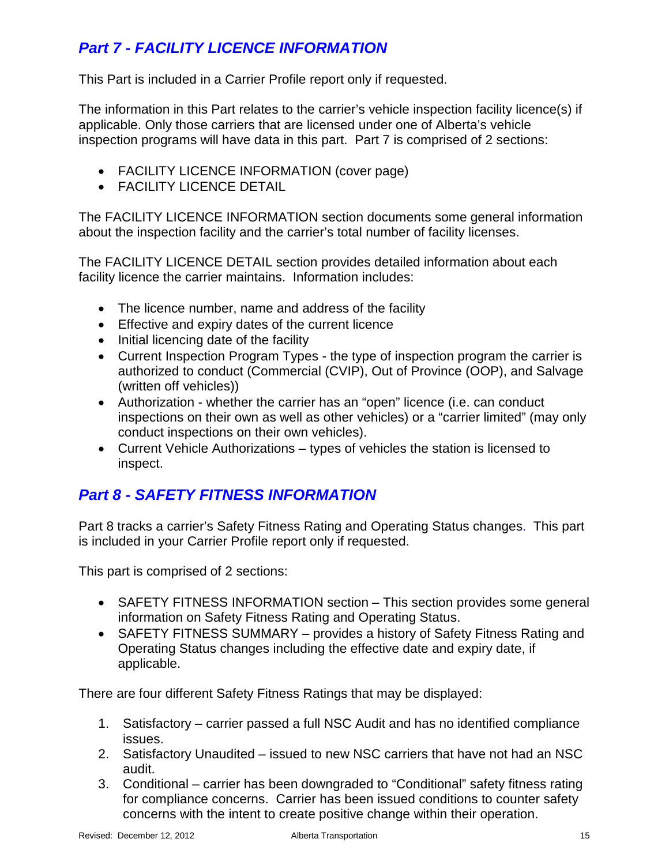## *Part 7 - FACILITY LICENCE INFORMATION*

This Part is included in a Carrier Profile report only if requested.

The information in this Part relates to the carrier's vehicle inspection facility licence(s) if applicable. Only those carriers that are licensed under one of Alberta's vehicle inspection programs will have data in this part. Part 7 is comprised of 2 sections:

- FACILITY LICENCE INFORMATION (cover page)
- FACILITY LICENCE DETAIL

The FACILITY LICENCE INFORMATION section documents some general information about the inspection facility and the carrier's total number of facility licenses.

The FACILITY LICENCE DETAIL section provides detailed information about each facility licence the carrier maintains. Information includes:

- The licence number, name and address of the facility
- Effective and expiry dates of the current licence
- Initial licencing date of the facility
- Current Inspection Program Types the type of inspection program the carrier is authorized to conduct (Commercial (CVIP), Out of Province (OOP), and Salvage (written off vehicles))
- Authorization whether the carrier has an "open" licence (i.e. can conduct inspections on their own as well as other vehicles) or a "carrier limited" (may only conduct inspections on their own vehicles).
- Current Vehicle Authorizations types of vehicles the station is licensed to inspect.

### *Part 8 - SAFETY FITNESS INFORMATION*

Part 8 tracks a carrier's Safety Fitness Rating and Operating Status changes. This part is included in your Carrier Profile report only if requested.

This part is comprised of 2 sections:

- SAFETY FITNESS INFORMATION section This section provides some general information on Safety Fitness Rating and Operating Status.
- SAFETY FITNESS SUMMARY provides a history of Safety Fitness Rating and Operating Status changes including the effective date and expiry date, if applicable.

There are four different Safety Fitness Ratings that may be displayed:

- 1. Satisfactory carrier passed a full NSC Audit and has no identified compliance issues.
- 2. Satisfactory Unaudited issued to new NSC carriers that have not had an NSC audit.
- 3. Conditional carrier has been downgraded to "Conditional" safety fitness rating for compliance concerns. Carrier has been issued conditions to counter safety concerns with the intent to create positive change within their operation.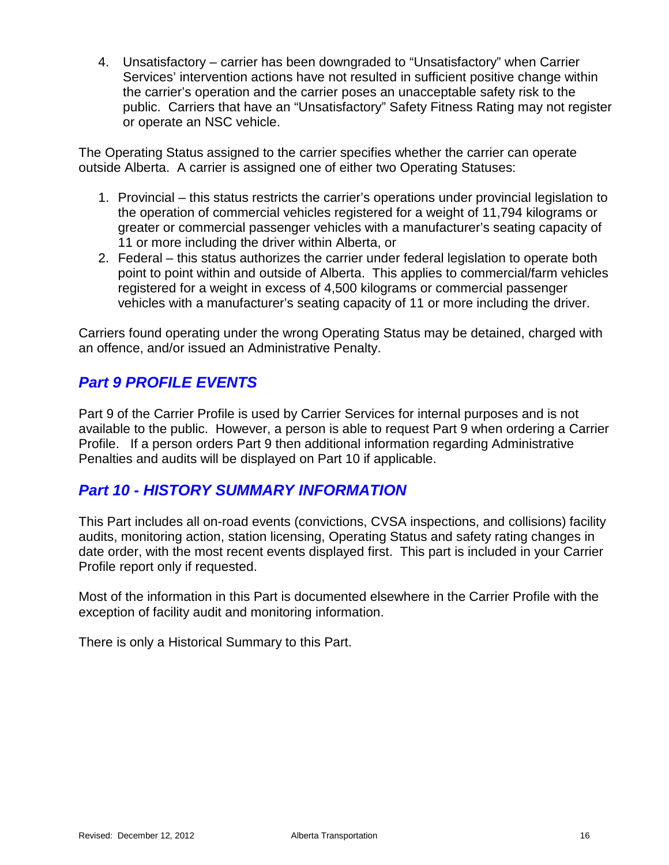4. Unsatisfactory – carrier has been downgraded to "Unsatisfactory" when Carrier Services' intervention actions have not resulted in sufficient positive change within the carrier's operation and the carrier poses an unacceptable safety risk to the public. Carriers that have an "Unsatisfactory" Safety Fitness Rating may not register or operate an NSC vehicle.

The Operating Status assigned to the carrier specifies whether the carrier can operate outside Alberta. A carrier is assigned one of either two Operating Statuses:

- 1. Provincial this status restricts the carrier's operations under provincial legislation to the operation of commercial vehicles registered for a weight of 11,794 kilograms or greater or commercial passenger vehicles with a manufacturer's seating capacity of 11 or more including the driver within Alberta, or
- 2. Federal this status authorizes the carrier under federal legislation to operate both point to point within and outside of Alberta. This applies to commercial/farm vehicles registered for a weight in excess of 4,500 kilograms or commercial passenger vehicles with a manufacturer's seating capacity of 11 or more including the driver.

Carriers found operating under the wrong Operating Status may be detained, charged with an offence, and/or issued an Administrative Penalty.

#### *Part 9 PROFILE EVENTS*

Part 9 of the Carrier Profile is used by Carrier Services for internal purposes and is not available to the public. However, a person is able to request Part 9 when ordering a Carrier Profile. If a person orders Part 9 then additional information regarding Administrative Penalties and audits will be displayed on Part 10 if applicable.

#### *Part 10 - HISTORY SUMMARY INFORMATION*

This Part includes all on-road events (convictions, CVSA inspections, and collisions) facility audits, monitoring action, station licensing, Operating Status and safety rating changes in date order, with the most recent events displayed first. This part is included in your Carrier Profile report only if requested.

Most of the information in this Part is documented elsewhere in the Carrier Profile with the exception of facility audit and monitoring information.

There is only a Historical Summary to this Part.